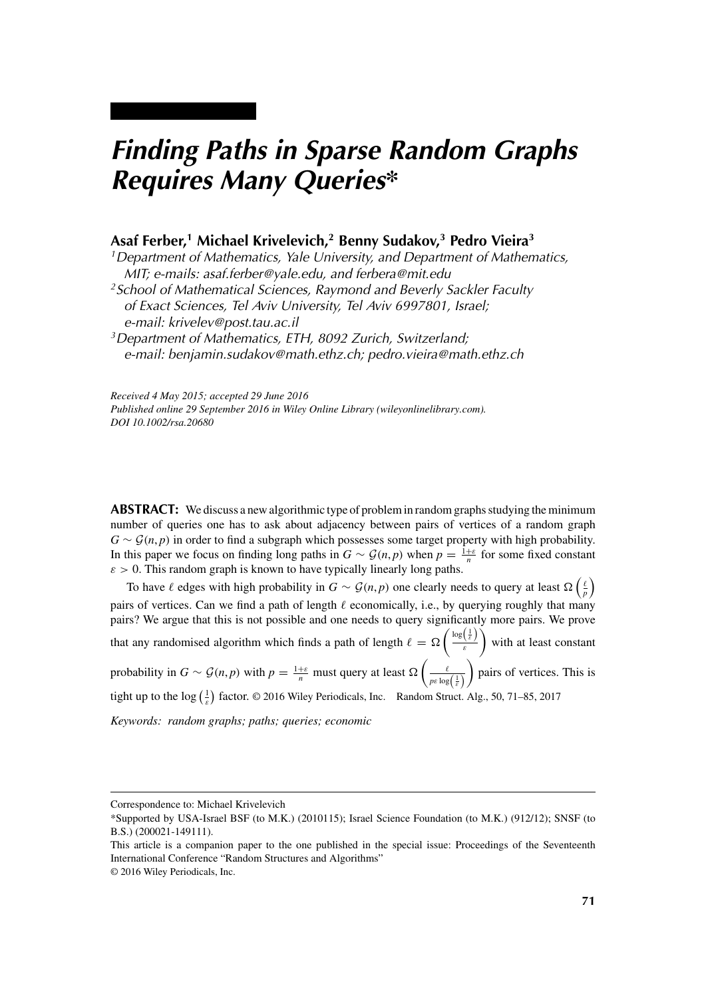# *Finding Paths in Sparse Random Graphs Requires Many Queries\**

# **Asaf Ferber,1 Michael Krivelevich,2 Benny Sudakov,3 Pedro Vieira3**

*1Department of Mathematics, Yale University, and Department of Mathematics, MIT; e-mails: asaf.ferber@yale.edu, and ferbera@mit.edu*

*2School of Mathematical Sciences, Raymond and Beverly Sackler Faculty of Exact Sciences, Tel Aviv University, Tel Aviv 6997801, Israel; e-mail: krivelev@post.tau.ac.il*

*3Department of Mathematics, ETH, 8092 Zurich, Switzerland; e-mail: benjamin.sudakov@math.ethz.ch; pedro.vieira@math.ethz.ch*

*Received 4 May 2015; accepted 29 June 2016 Published online 29 September 2016 in Wiley Online Library (wileyonlinelibrary.com). DOI 10.1002/rsa.20680*

**ABSTRACT:** We discuss a new algorithmic type of problem in random graphs studying the minimum number of queries one has to ask about adjacency between pairs of vertices of a random graph  $G \sim \mathcal{G}(n, p)$  in order to find a subgraph which possesses some target property with high probability. In this paper we focus on finding long paths in  $G \sim \mathcal{G}(n, p)$  when  $p = \frac{1+\varepsilon}{n}$  for some fixed constant  $\varepsilon$  > 0. This random graph is known to have typically linearly long paths.

To have  $\ell$  edges with high probability in  $G \sim \mathcal{G}(n, p)$  one clearly needs to query at least  $\Omega\left(\frac{\ell}{p}\right)$ pairs of vertices. Can we find a path of length  $\ell$  economically, i.e., by querying roughly that many pairs? We argue that this is not possible and one needs to query significantly more pairs. We prove that any randomised algorithm which finds a path of length  $\ell = \Omega \left( \frac{\log(\frac{1}{\epsilon})}{\epsilon} \right)$ *ε* with at least constant probability in  $G \sim \mathcal{G}(n, p)$  with  $p = \frac{1+\varepsilon}{n}$  must query at least  $\Omega\left(\frac{\ell}{p\varepsilon \log(\frac{1}{\varepsilon})}\right)$  pairs of vertices. This is tight up to the  $\log(\frac{1}{\varepsilon})$  factor. © 2016 Wiley Periodicals, Inc. Random Struct. Alg., 50, 71–85, 2017 *Keywords: random graphs; paths; queries; economic*

Correspondence to: Michael Krivelevich

<sup>\*</sup>Supported by USA-Israel BSF (to M.K.) (2010115); Israel Science Foundation (to M.K.) (912/12); SNSF (to B.S.) (200021-149111).

This article is a companion paper to the one published in the special issue: Proceedings of the Seventeenth International Conference "Random Structures and Algorithms"

<sup>© 2016</sup> Wiley Periodicals, Inc.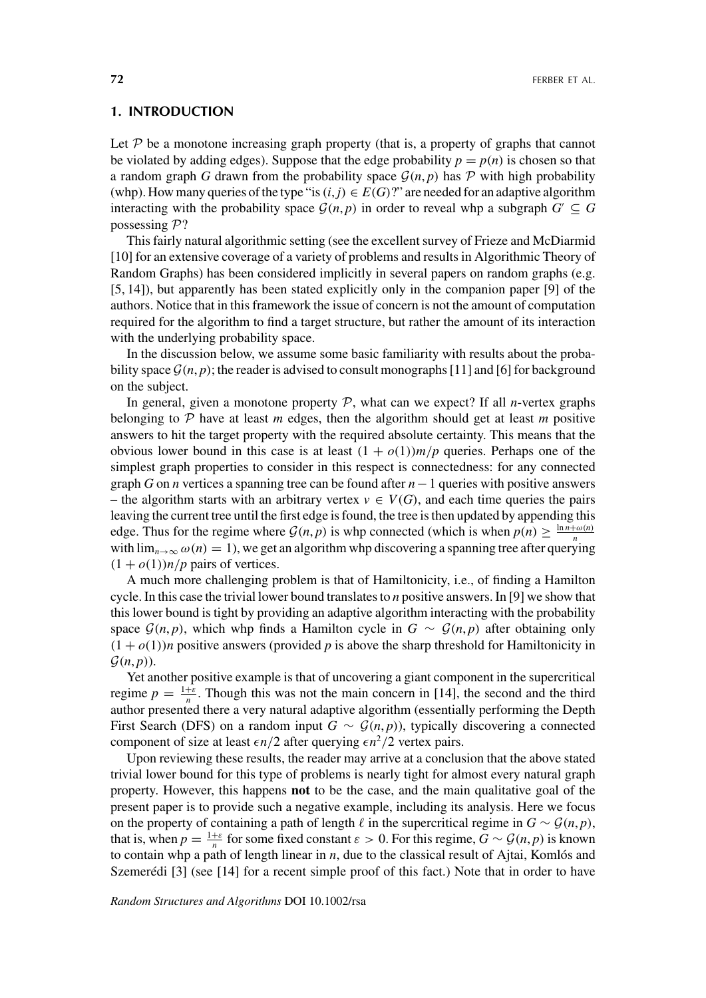# **1. INTRODUCTION**

Let  $P$  be a monotone increasing graph property (that is, a property of graphs that cannot be violated by adding edges). Suppose that the edge probability  $p = p(n)$  is chosen so that a random graph *G* drawn from the probability space  $\mathcal{G}(n, p)$  has P with high probability (whp). How many queries of the type "is  $(i, j) \in E(G)$ ?" are needed for an adaptive algorithm interacting with the probability space  $\mathcal{G}(n, p)$  in order to reveal whp a subgraph  $G' \subseteq G$ possessing P?

This fairly natural algorithmic setting (see the excellent survey of Frieze and McDiarmid [10] for an extensive coverage of a variety of problems and results in Algorithmic Theory of Random Graphs) has been considered implicitly in several papers on random graphs (e.g. [5, 14]), but apparently has been stated explicitly only in the companion paper [9] of the authors. Notice that in this framework the issue of concern is not the amount of computation required for the algorithm to find a target structure, but rather the amount of its interaction with the underlying probability space.

In the discussion below, we assume some basic familiarity with results about the probability space  $\mathcal{G}(n, p)$ ; the reader is advised to consult monographs [11] and [6] for background on the subject.

In general, given a monotone property  $P$ , what can we expect? If all *n*-vertex graphs belonging to  $P$  have at least *m* edges, then the algorithm should get at least *m* positive answers to hit the target property with the required absolute certainty. This means that the obvious lower bound in this case is at least  $(1 + o(1))m/p$  queries. Perhaps one of the simplest graph properties to consider in this respect is connectedness: for any connected graph *G* on *n* vertices a spanning tree can be found after *n*−1 queries with positive answers – the algorithm starts with an arbitrary vertex  $v \in V(G)$ , and each time queries the pairs leaving the current tree until the first edge is found, the tree is then updated by appending this edge. Thus for the regime where  $G(n, p)$  is whp connected (which is when  $p(n) \ge \frac{\ln n + \omega(n)}{n}$ with  $\lim_{n\to\infty} \omega(n) = 1$ , we get an algorithm whp discovering a spanning tree after querying  $(1 + o(1))n/p$  pairs of vertices.

A much more challenging problem is that of Hamiltonicity, i.e., of finding a Hamilton cycle. In this case the trivial lower bound translates to *n* positive answers. In [9] we show that this lower bound is tight by providing an adaptive algorithm interacting with the probability space  $\mathcal{G}(n, p)$ , which whp finds a Hamilton cycle in  $G \sim \mathcal{G}(n, p)$  after obtaining only  $(1 + o(1))$ *n* positive answers (provided *p* is above the sharp threshold for Hamiltonicity in  $\mathcal{G}(n, p)$ ).

Yet another positive example is that of uncovering a giant component in the supercritical regime  $p = \frac{1+\varepsilon}{n}$ . Though this was not the main concern in [14], the second and the third author presented there a very natural adaptive algorithm (essentially performing the Depth First Search (DFS) on a random input  $G \sim \mathcal{G}(n, p)$ ), typically discovering a connected component of size at least  $\epsilon n/2$  after querying  $\epsilon n^2/2$  vertex pairs.

Upon reviewing these results, the reader may arrive at a conclusion that the above stated trivial lower bound for this type of problems is nearly tight for almost every natural graph property. However, this happens **not** to be the case, and the main qualitative goal of the present paper is to provide such a negative example, including its analysis. Here we focus on the property of containing a path of length  $\ell$  in the supercritical regime in  $G \sim \mathcal{G}(n, p)$ , that is, when  $p = \frac{1+\varepsilon}{n}$  for some fixed constant  $\varepsilon > 0$ . For this regime,  $G \sim \mathcal{G}(n, p)$  is known to contain whp a path of length linear in *n*, due to the classical result of Ajtai, Komlós and Szemerédi [3] (see [14] for a recent simple proof of this fact.) Note that in order to have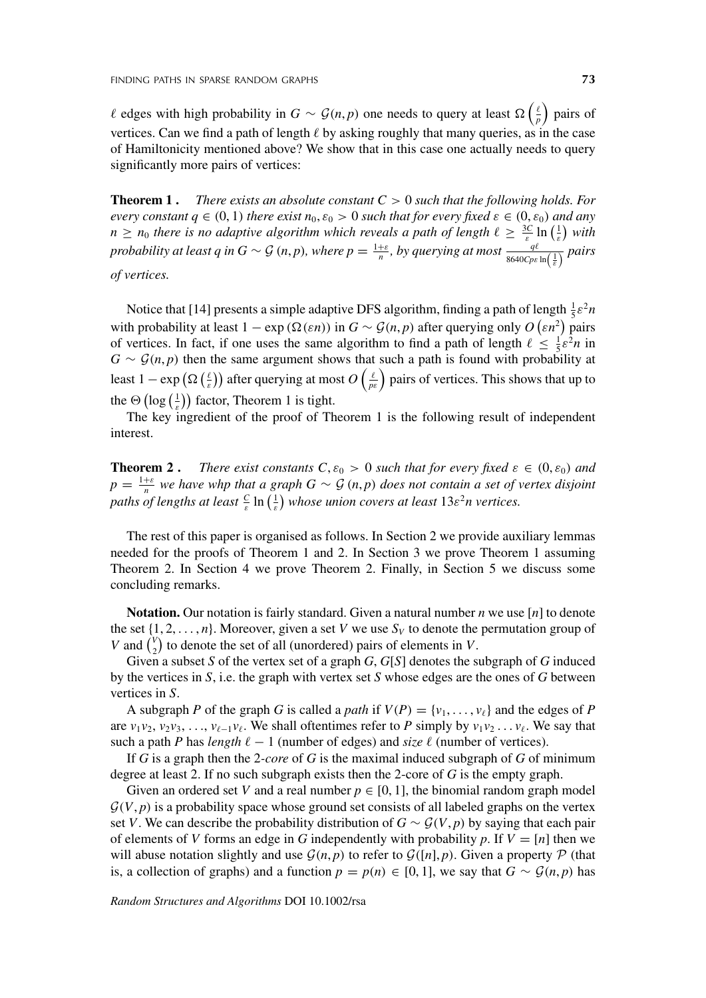*θ* edges with high probability in *G* ∼ *G*(*n*, *p*) one needs to query at least  $\Omega\left(\frac{\ell}{p}\right)$  pairs of vertices. Can we find a path of length  $\ell$  by asking roughly that many queries, as in the case of Hamiltonicity mentioned above? We show that in this case one actually needs to query significantly more pairs of vertices:

**Theorem 1.** *There exists an absolute constant*  $C > 0$  *such that the following holds. For every constant*  $q \in (0, 1)$  *there exist*  $n_0$ ,  $\varepsilon_0 > 0$  *such that for every fixed*  $\varepsilon \in (0, \varepsilon_0)$  *and any n*  $\geq$  *n*<sub>0</sub> *there is no adaptive algorithm which reveals a path of length*  $\ell \geq \frac{3C}{\epsilon} \ln\left(\frac{1}{\epsilon}\right)$  with *probability at least q in G*  $\sim$  G  $(n, p)$ *, where*  $p = \frac{1+\varepsilon}{n}$ *, by querying at most*  $\frac{q\ell}{8640Cpc \ln\left(\frac{1}{\varepsilon}\right)}$  pairs *of vertices.*

Notice that [14] presents a simple adaptive DFS algorithm, finding a path of length  $\frac{1}{5} \varepsilon^2 n$ with probability at least  $1 - \exp(\Omega(\varepsilon n))$  in  $G \sim \mathcal{G}(n, p)$  after querying only  $O(\varepsilon n^2)$  pairs of vertices. In fact, if one uses the same algorithm to find a path of length  $\ell \leq \frac{1}{5} \varepsilon^2 n$  in  $G \sim \mathcal{G}(n, p)$  then the same argument shows that such a path is found with probability at least  $1 - \exp(\Omega\left(\frac{\ell}{\varepsilon}\right))$  after querying at most  $O\left(\frac{\ell}{p\varepsilon}\right)$  pairs of vertices. This shows that up to the  $\Theta\left(\log\left(\frac{1}{\varepsilon}\right)\right)$  factor, Theorem 1 is tight.

The key ingredient of the proof of Theorem 1 is the following result of independent interest.

**Theorem 2.** *There exist constants*  $C, \varepsilon_0 > 0$  *such that for every fixed*  $\varepsilon \in (0, \varepsilon_0)$  *and*  $p = \frac{1+\varepsilon}{n}$  we have whp that a graph  $G \sim \mathcal{G}(n, p)$  does not contain a set of vertex disjoint *paths of lengths at least*  $\frac{c}{\varepsilon}$  ln  $(\frac{1}{\varepsilon})$  whose union covers at least  $13\varepsilon^2$ n vertices.

The rest of this paper is organised as follows. In Section 2 we provide auxiliary lemmas needed for the proofs of Theorem 1 and 2. In Section 3 we prove Theorem 1 assuming Theorem 2. In Section 4 we prove Theorem 2. Finally, in Section 5 we discuss some concluding remarks.

**Notation.** Our notation is fairly standard. Given a natural number *n* we use [*n*] to denote the set  $\{1, 2, \ldots, n\}$ . Moreover, given a set *V* we use  $S_V$  to denote the permutation group of *V* and  $\binom{V}{2}$  to denote the set of all (unordered) pairs of elements in *V*.

Given a subset *S* of the vertex set of a graph *G*, *G*[*S*] denotes the subgraph of *G* induced by the vertices in *S*, i.e. the graph with vertex set *S* whose edges are the ones of *G* between vertices in *S*.

A subgraph *P* of the graph *G* is called a *path* if  $V(P) = \{v_1, \ldots, v_\ell\}$  and the edges of *P* are  $v_1v_2, v_2v_3, \ldots, v_{\ell-1}v_{\ell}$ . We shall oftentimes refer to *P* simply by  $v_1v_2 \ldots v_{\ell}$ . We say that such a path *P* has *length*  $\ell - 1$  (number of edges) and *size*  $\ell$  (number of vertices).

If *G* is a graph then the 2*-core* of *G* is the maximal induced subgraph of *G* of minimum degree at least 2. If no such subgraph exists then the 2-core of *G* is the empty graph.

Given an ordered set *V* and a real number  $p \in [0, 1]$ , the binomial random graph model  $G(V, p)$  is a probability space whose ground set consists of all labeled graphs on the vertex set *V*. We can describe the probability distribution of  $G \sim \mathcal{G}(V, p)$  by saying that each pair of elements of *V* forms an edge in *G* independently with probability *p*. If  $V = [n]$  then we will abuse notation slightly and use  $\mathcal{G}(n, p)$  to refer to  $\mathcal{G}([n], p)$ . Given a property  $\mathcal{P}$  (that is, a collection of graphs) and a function  $p = p(n) \in [0, 1]$ , we say that  $G \sim \mathcal{G}(n, p)$  has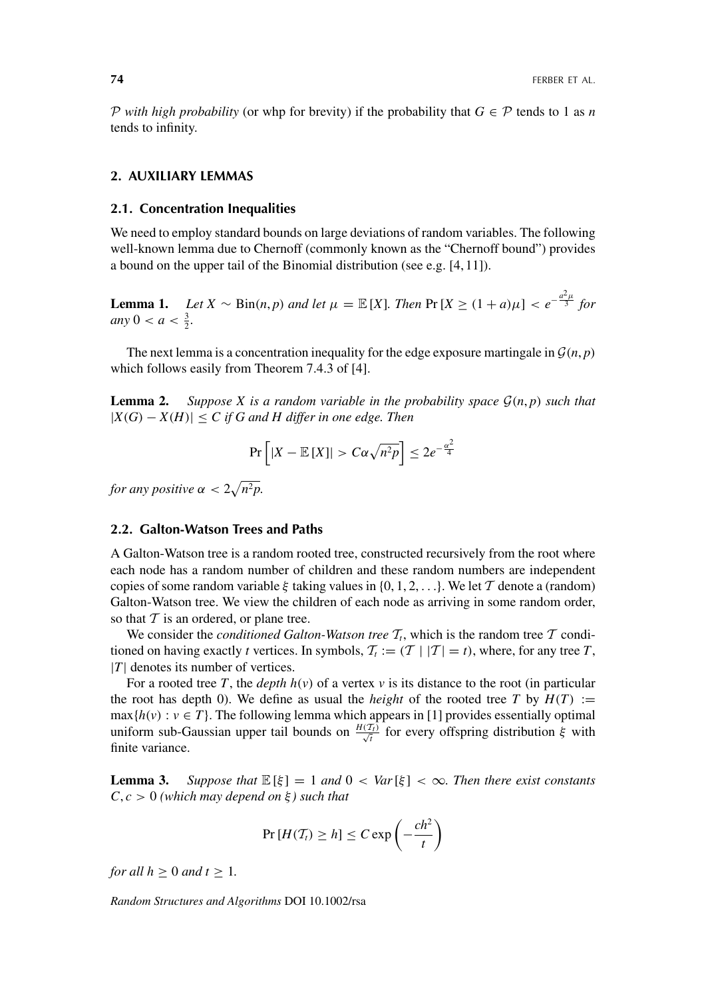P *with high probability* (or whp for brevity) if the probability that  $G \in \mathcal{P}$  tends to 1 as *n* tends to infinity.

# **2. AUXILIARY LEMMAS**

#### **2.1. Concentration Inequalities**

We need to employ standard bounds on large deviations of random variables. The following well-known lemma due to Chernoff (commonly known as the "Chernoff bound") provides a bound on the upper tail of the Binomial distribution (see e.g. [4, 11]).

**Lemma 1.** *Let*  $X \sim Bin(n, p)$  *and let*  $\mu = \mathbb{E}[X]$ *. Then*  $\Pr[X \geq (1 + a)\mu] < e^{-\frac{a^2\mu}{3}}$  *for*  $any\ 0 < a < \frac{3}{2}.$ 

The next lemma is a concentration inequality for the edge exposure martingale in  $\mathcal{G}(n, p)$ which follows easily from Theorem 7.4.3 of [4].

**Lemma 2.** Suppose X is a random variable in the probability space  $\mathcal{G}(n, p)$  such that |*X(G)* − *X(H)*| ≤ *C if G and H differ in one edge. Then*

$$
\Pr\left[|X - \mathbb{E}[X]| > C\alpha\sqrt{n^2p}\right] \le 2e^{-\frac{\alpha^2}{4}}
$$

*for any positive*  $\alpha < 2\sqrt{n^2p}$ .

# **2.2. Galton-Watson Trees and Paths**

A Galton-Watson tree is a random rooted tree, constructed recursively from the root where each node has a random number of children and these random numbers are independent copies of some random variable *ξ* taking values in {0, 1, 2, *...*}. We let T denote a (random) Galton-Watson tree. We view the children of each node as arriving in some random order, so that  $T$  is an ordered, or plane tree.

We consider the *conditioned Galton-Watson tree*  $T_t$ , which is the random tree  $T$  conditioned on having exactly *t* vertices. In symbols,  $T_t := (T | |T| = t)$ , where, for any tree *T*, |*T*| denotes its number of vertices.

For a rooted tree *T*, the *depth*  $h(v)$  of a vertex  $v$  is its distance to the root (in particular the root has depth 0). We define as usual the *height* of the rooted tree *T* by  $H(T) :=$  $max{h(v) : v \in T}$ . The following lemma which appears in [1] provides essentially optimal uniform sub-Gaussian upper tail bounds on  $\frac{H(T_t)}{\sqrt{t}}$  for every offspring distribution  $\xi$  with finite variance.

**Lemma 3.** *Suppose that*  $\mathbb{E}[\xi] = 1$  *and*  $0 < \text{Var}[\xi] < \infty$ *. Then there exist constants*  $C, c > 0$  (which may depend on  $\xi$ ) such that

$$
\Pr\left[H(\mathcal{T}_t)\geq h\right]\leq C\exp\left(-\frac{ch^2}{t}\right)
$$

*for all*  $h \geq 0$  *and*  $t \geq 1$ *.*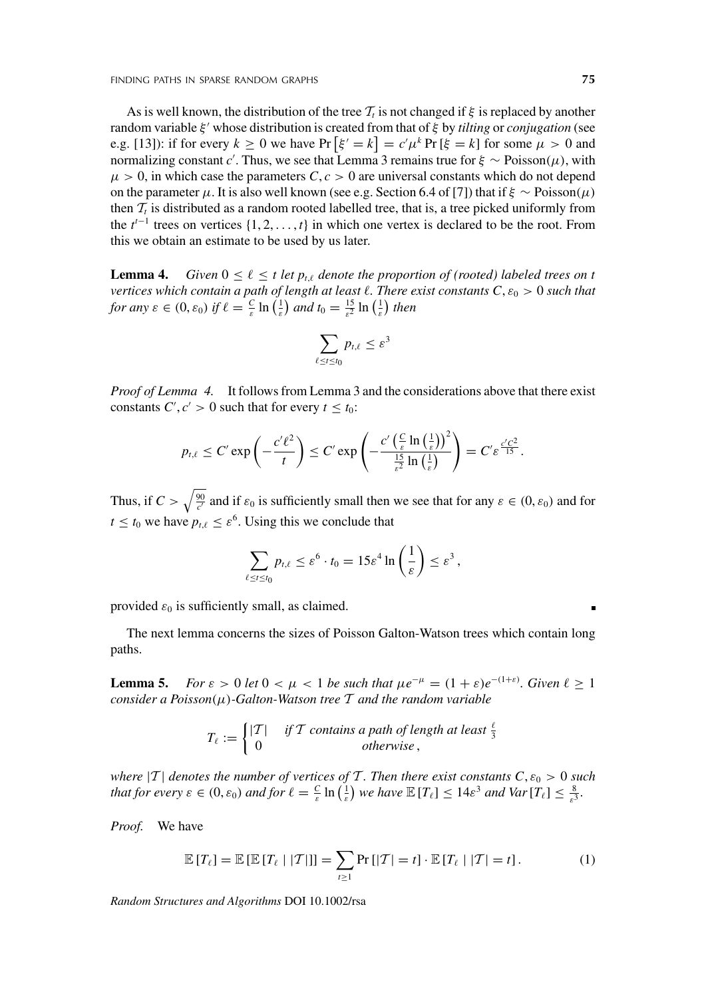As is well known, the distribution of the tree  $\mathcal{T}_t$  is not changed if  $\xi$  is replaced by another random variable *ξ* whose distribution is created from that of *ξ* by *tilting* or *conjugation* (see e.g. [13]): if for every  $k \ge 0$  we have  $Pr\left[\xi = k\right] = c'\mu^k Pr\left[\xi = k\right]$  for some  $\mu > 0$  and normalizing constant *c* . Thus, we see that Lemma 3 remains true for *ξ* ∼ Poisson*(μ)*, with  $\mu > 0$ , in which case the parameters *C*,  $c > 0$  are universal constants which do not depend on the parameter  $\mu$ . It is also well known (see e.g. Section 6.4 of [7]) that if  $\xi \sim \text{Poisson}(\mu)$ then  $T_t$  is distributed as a random rooted labelled tree, that is, a tree picked uniformly from the  $t^{t-1}$  trees on vertices  $\{1, 2, \ldots, t\}$  in which one vertex is declared to be the root. From this we obtain an estimate to be used by us later.

**Lemma 4.** *Given*  $0 \leq \ell \leq t$  *let*  $p_{i,\ell}$  *denote the proportion of (rooted) labeled trees on t vertices which contain a path of length at least*  $\ell$ *. There exist constants*  $C, \epsilon_0 > 0$  *such that for any*  $\varepsilon \in (0, \varepsilon_0)$  *if*  $\ell = \frac{C}{\varepsilon} \ln\left(\frac{1}{\varepsilon}\right)$  *and*  $t_0 = \frac{15}{\varepsilon^2} \ln\left(\frac{1}{\varepsilon}\right)$  *then* 

$$
\sum_{\ell \leq t \leq t_0} p_{t,\ell} \leq \varepsilon^3
$$

*Proof of Lemma 4.* It follows from Lemma 3 and the considerations above that there exist constants *C'*,  $c' > 0$  such that for every  $t \leq t_0$ :

$$
p_{t,\ell} \leq C' \exp\left(-\frac{c'\ell^2}{t}\right) \leq C' \exp\left(-\frac{c'\left(\frac{C}{\varepsilon}\ln\left(\frac{1}{\varepsilon}\right)\right)^2}{\frac{15}{\varepsilon^2}\ln\left(\frac{1}{\varepsilon}\right)}\right) = C' \varepsilon^{\frac{c'C^2}{15}}.
$$

Thus, if  $C > \sqrt{\frac{90}{c'}}$  and if  $\varepsilon_0$  is sufficiently small then we see that for any  $\varepsilon \in (0, \varepsilon_0)$  and for  $t \leq t_0$  we have  $p_{t,\ell} \leq \varepsilon^6$ . Using this we conclude that

$$
\sum_{\ell \leq t \leq t_0} p_{t,\ell} \leq \varepsilon^6 \cdot t_0 = 15\varepsilon^4 \ln\left(\frac{1}{\varepsilon}\right) \leq \varepsilon^3,
$$

provided  $\varepsilon_0$  is sufficiently small, as claimed.

The next lemma concerns the sizes of Poisson Galton-Watson trees which contain long paths.

**Lemma 5.** *For*  $\varepsilon > 0$  *let*  $0 < \mu < 1$  *be such that*  $\mu e^{-\mu} = (1 + \varepsilon)e^{-(1+\varepsilon)}$ *. Given*  $\ell \ge 1$ *consider a Poisson(μ)-Galton-Watson tree* T *and the random variable*

$$
T_{\ell} := \begin{cases} |T| & \text{if } T \text{ contains a path of length at least } \frac{\ell}{3} \\ 0 & \text{otherwise} \end{cases}
$$

*where*  $|T|$  *denotes the number of vertices of* T. Then there exist constants  $C, \varepsilon_0 > 0$  such *that for every*  $\varepsilon \in (0, \varepsilon_0)$  *and for*  $\ell = \frac{C}{\varepsilon} \ln\left(\frac{1}{\varepsilon}\right)$  *we have*  $\mathbb{E}[T_\ell] \leq 14\varepsilon^3$  *and Var*  $[T_\ell] \leq \frac{8}{\varepsilon^3}$ .

*Proof.* We have

$$
\mathbb{E}\left[T_{\ell}\right] = \mathbb{E}\left[\mathbb{E}\left[T_{\ell} \mid |\mathcal{T}|\right]\right] = \sum_{t \ge 1} \Pr\left[|\mathcal{T}| = t\right] \cdot \mathbb{E}\left[T_{\ell} \mid |\mathcal{T}| = t\right].\tag{1}
$$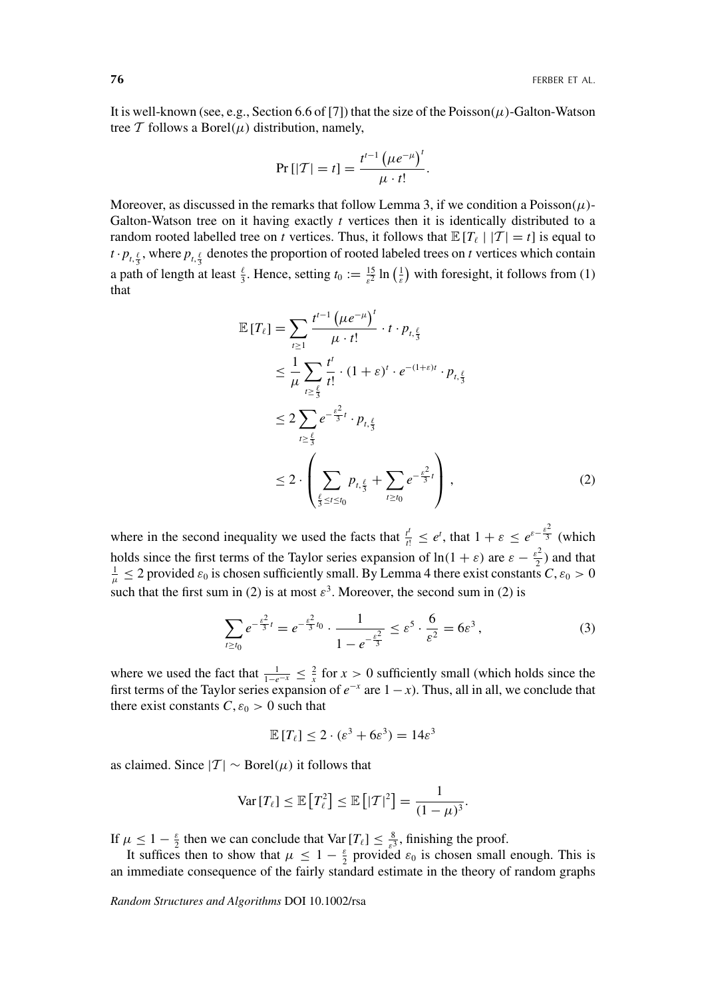It is well-known (see, e.g., Section 6.6 of [7]) that the size of the Poisson $(\mu)$ -Galton-Watson tree  $T$  follows a Borel $(\mu)$  distribution, namely,

$$
\Pr[|T| = t] = \frac{t^{t-1} (\mu e^{-\mu})'}{\mu \cdot t!}.
$$

Moreover, as discussed in the remarks that follow Lemma 3, if we condition a Poisson*(μ)*- Galton-Watson tree on it having exactly *t* vertices then it is identically distributed to a random rooted labelled tree on *t* vertices. Thus, it follows that  $\mathbb{E}[T_\ell | |T| = t]$  is equal to  $t \cdot p_{t,\frac{\ell}{3}}$ , where  $p_{t,\frac{\ell}{3}}$  denotes the proportion of rooted labeled trees on *t* vertices which contain a path of length at least  $\frac{\ell}{3}$ . Hence, setting  $t_0 := \frac{15}{\epsilon^2} \ln\left(\frac{1}{\epsilon}\right)$  with foresight, it follows from (1) that

$$
\mathbb{E}[T_{\ell}] = \sum_{t \ge 1} \frac{t^{t-1} (\mu e^{-\mu})^t}{\mu \cdot t!} \cdot t \cdot p_{t, \frac{\ell}{3}} \n\le \frac{1}{\mu} \sum_{t \ge \frac{\ell}{3}} \frac{t^t}{t!} \cdot (1 + \varepsilon)^t \cdot e^{-(1 + \varepsilon)t} \cdot p_{t, \frac{\ell}{3}} \n\le 2 \sum_{t \ge \frac{\ell}{3}} e^{-\frac{\varepsilon^2}{3}t} \cdot p_{t, \frac{\ell}{3}} \n\le 2 \cdot \left( \sum_{\frac{\ell}{3} \le t \le t_0} p_{t, \frac{\ell}{3}} + \sum_{t \ge t_0} e^{-\frac{\varepsilon^2}{3}t} \right),
$$
\n(2)

where in the second inequality we used the facts that  $\frac{t^t}{t!} \leq e^t$ , that  $1 + \varepsilon \leq e^{\varepsilon - \frac{\varepsilon^2}{3}}$  (which holds since the first terms of the Taylor series expansion of  $\ln(1 + \varepsilon)$  are  $\varepsilon - \frac{\varepsilon^2}{2}$  and that  $1 < 2$  provided  $\varepsilon$ , is chosen sufficiently small. By Lemma 4 there exist constants  $C_1 \varepsilon_2 > 0$  $\frac{1}{\mu} \leq 2$  provided  $\varepsilon_0$  is chosen sufficiently small. By Lemma 4 there exist constants  $C, \varepsilon_0 > 0$ such that the first sum in (2) is at most  $\varepsilon^3$ . Moreover, the second sum in (2) is

$$
\sum_{t \ge t_0} e^{-\frac{\varepsilon^2}{3}t} = e^{-\frac{\varepsilon^2}{3}t_0} \cdot \frac{1}{1 - e^{-\frac{\varepsilon^2}{3}}} \le \varepsilon^5 \cdot \frac{6}{\varepsilon^2} = 6\varepsilon^3,
$$
 (3)

where we used the fact that  $\frac{1}{1-e^{-x}} \leq \frac{2}{x}$  for  $x > 0$  sufficiently small (which holds since the first terms of the Taylor series expansion of  $e^{-x}$  are  $1 - x$ ). Thus, all in all, we conclude that there exist constants  $C, \varepsilon_0 > 0$  such that

$$
\mathbb{E}[T_{\ell}] \le 2 \cdot (\varepsilon^3 + 6\varepsilon^3) = 14\varepsilon^3
$$

as claimed. Since  $|T| \sim \text{Borel}(\mu)$  it follows that

$$
\text{Var}\left[T_{\ell}\right] \leq \mathbb{E}\left[T_{\ell}^{2}\right] \leq \mathbb{E}\left[|\mathcal{T}|^{2}\right] = \frac{1}{(1-\mu)^{3}}.
$$

If  $\mu \leq 1 - \frac{\varepsilon}{2}$  then we can conclude that Var  $[T_{\ell}] \leq \frac{8}{\varepsilon^3}$ , finishing the proof.

It suffices then to show that  $\mu \leq 1 - \frac{\varepsilon}{2}$  provided  $\varepsilon_0$  is chosen small enough. This is an immediate consequence of the fairly standard estimate in the theory of random graphs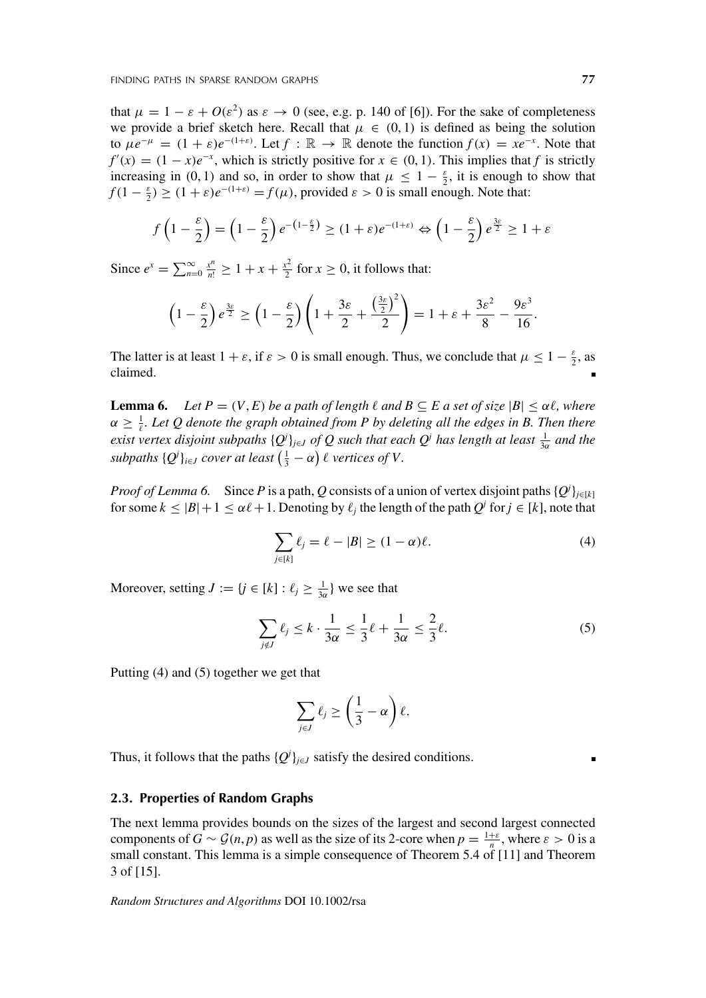that  $\mu = 1 - \varepsilon + O(\varepsilon^2)$  as  $\varepsilon \to 0$  (see, e.g. p. 140 of [6]). For the sake of completeness we provide a brief sketch here. Recall that  $\mu \in (0,1)$  is defined as being the solution to  $\mu e^{-\mu} = (1 + \varepsilon)e^{-(1+\varepsilon)}$ . Let  $f : \mathbb{R} \to \mathbb{R}$  denote the function  $f(x) = xe^{-x}$ . Note that  $f'(x) = (1 - x)e^{-x}$ , which is strictly positive for  $x \in (0, 1)$ . This implies that *f* is strictly increasing in (0, 1) and so, in order to show that  $\mu \leq 1 - \frac{\varepsilon}{2}$ , it is enough to show that  $f(1 - \frac{\varepsilon}{2}) \ge (1 + \varepsilon)e^{-(1+\varepsilon)} = f(\mu)$ , provided  $\varepsilon > 0$  is small enough. Note that:

$$
f\left(1-\frac{\varepsilon}{2}\right) = \left(1-\frac{\varepsilon}{2}\right)e^{-\left(1-\frac{\varepsilon}{2}\right)} \ge (1+\varepsilon)e^{-\left(1+\varepsilon\right)} \Leftrightarrow \left(1-\frac{\varepsilon}{2}\right)e^{\frac{3\varepsilon}{2}} \ge 1+\varepsilon
$$

Since  $e^x = \sum_{n=0}^{\infty} \frac{x^n}{n!} \ge 1 + x + \frac{x^2}{2}$  for  $x \ge 0$ , it follows that:

$$
\left(1-\frac{\varepsilon}{2}\right)e^{\frac{3\varepsilon}{2}} \ge \left(1-\frac{\varepsilon}{2}\right)\left(1+\frac{3\varepsilon}{2}+\frac{\left(\frac{3\varepsilon}{2}\right)^2}{2}\right) = 1+\varepsilon+\frac{3\varepsilon^2}{8}-\frac{9\varepsilon^3}{16}.
$$

The latter is at least  $1 + \varepsilon$ , if  $\varepsilon > 0$  is small enough. Thus, we conclude that  $\mu \leq 1 - \frac{\varepsilon}{2}$ , as claimed.

**Lemma 6.** *Let*  $P = (V, E)$  *be a path of length*  $\ell$  *and*  $B \subseteq E$  *a set of size*  $|B| \le \alpha \ell$ *, where*  $\alpha \geq \frac{1}{\ell}$ *. Let Q denote the graph obtained from P by deleting all the edges in B. Then there exist vertex disjoint subpaths*  ${Q^j}_{j \in J}$  *of*  $Q$  *such that each*  $Q^j$  *has length at least*  $\frac{1}{3\alpha}$  *and the subpaths*  $\{Q^i\}_{i\in J}$  *cover at least*  $\left(\frac{1}{3} - \alpha\right)\ell$  *vertices of V*.

*Proof of Lemma 6.* Since *P* is a path, *Q* consists of a union of vertex disjoint paths  $\{Q^i\}_{j\in[k]}$ for some  $k \leq |B| + 1 \leq \alpha \ell + 1$ . Denoting by  $\ell_j$  the length of the path  $Q^j$  for  $j \in [k]$ , note that

$$
\sum_{j\in[k]}\ell_j = \ell - |B| \ge (1 - \alpha)\ell. \tag{4}
$$

Moreover, setting  $J := \{j \in [k] : \ell_j \ge \frac{1}{3\alpha}\}\$  we see that

$$
\sum_{j \notin J} \ell_j \le k \cdot \frac{1}{3\alpha} \le \frac{1}{3} \ell + \frac{1}{3\alpha} \le \frac{2}{3} \ell. \tag{5}
$$

Putting (4) and (5) together we get that

$$
\sum_{j\in J}\ell_j\geq \left(\frac{1}{3}-\alpha\right)\ell.
$$

Thus, it follows that the paths  ${Q<sup>j</sup>}_{j \in J}$  satisfy the desired conditions.

#### **2.3. Properties of Random Graphs**

The next lemma provides bounds on the sizes of the largest and second largest connected components of  $G \sim \mathcal{G}(n, p)$  as well as the size of its 2-core when  $p = \frac{1+\varepsilon}{n}$ , where  $\varepsilon > 0$  is a small constant. This lemma is a simple consequence of Theorem 5.4 of [11] and Theorem 3 of [15].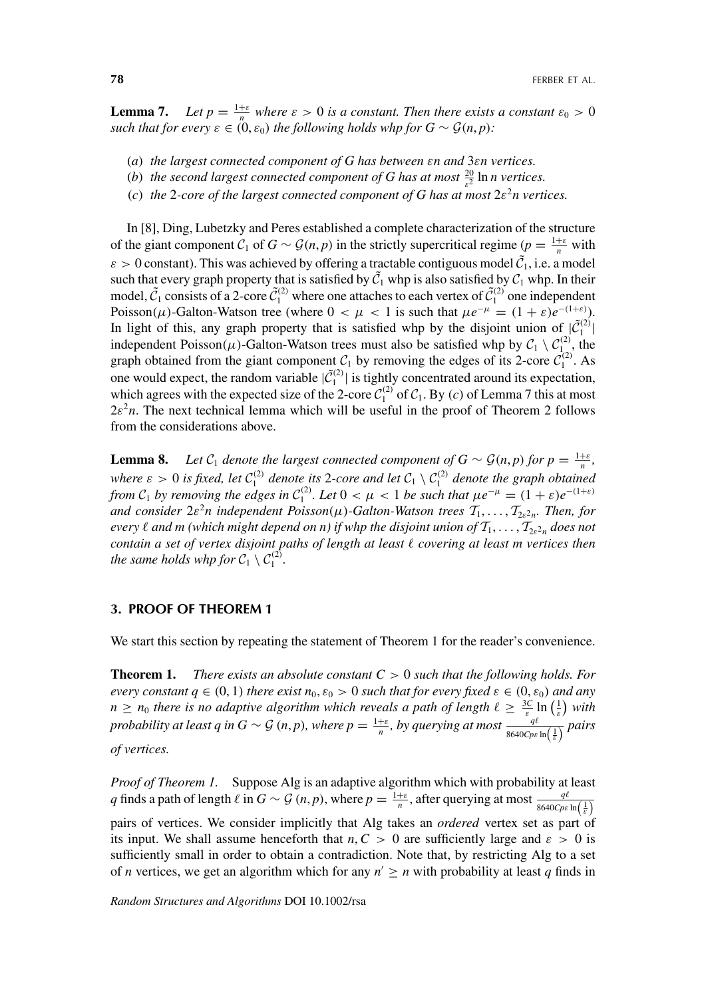**Lemma 7.** *Let*  $p = \frac{1+\varepsilon}{n}$  *where*  $\varepsilon > 0$  *is a constant. Then there exists a constant*  $\varepsilon_0 > 0$ *such that for every*  $\varepsilon \in (0, \varepsilon_0)$  *the following holds whp for*  $G \sim \mathcal{G}(n, p)$ *:* 

- *(a) the largest connected component of G has between εn and* 3*εn vertices.*
- *(b) the second largest connected component of G has at most*  $\frac{20}{\varepsilon^2}$  ln *n* vertices.
- *(c) the* 2*-core of the largest connected component of G has at most* 2*ε*<sup>2</sup>*n vertices.*

In [8], Ding, Lubetzky and Peres established a complete characterization of the structure of the giant component  $C_1$  of  $G \sim \mathcal{G}(n, p)$  in the strictly supercritical regime  $(p = \frac{1+\varepsilon}{n}$  with  $\varepsilon > 0$  constant). This was achieved by offering a tractable contiguous model  $\tilde{C}_1$ , i.e. a model such that every graph property that is satisfied by  $\tilde{C}_1$  whp is also satisfied by  $\mathcal{C}_1$  whp. In their model,  $\tilde{C}_1$  consists of a 2-core  $\tilde{C}_1^{(2)}$  where one attaches to each vertex of  $\tilde{C}_1^{(2)}$  one independent Poisson( $\mu$ )-Galton-Watson tree (where  $0 < \mu < 1$  is such that  $\mu e^{-\mu} = (1 + \varepsilon)e^{-(1+\varepsilon)}$ ). In light of this, any graph property that is satisfied whp by the disjoint union of  $|\tilde{C}_1^{(2)}|$ independent Poisson( $\mu$ )-Galton-Watson trees must also be satisfied whp by  $C_1 \setminus C_1^{(2)}$ , the graph obtained from the giant component  $C_1$  by removing the edges of its 2-core  $C_1^{(2)}$ . As one would expect, the random variable  $|\tilde{C}_1^{(2)}|$  is tightly concentrated around its expectation, which agrees with the expected size of the 2-core  $C_1^{(2)}$  of  $C_1$ . By *(c)* of Lemma 7 this at most  $2\varepsilon^2 n$ . The next technical lemma which will be useful in the proof of Theorem 2 follows from the considerations above.

**Lemma 8.** *Let*  $C_1$  *denote the largest connected component of*  $G \sim \mathcal{G}(n, p)$  *for*  $p = \frac{1+\varepsilon}{n}$ *, where*  $\varepsilon > 0$  *is fixed, let*  $C_1^{(2)}$  *denote its* 2*-core and let*  $C_1 \setminus C_1^{(2)}$  *denote the graph obtained from*  $C_1$  *by removing the edges in*  $C_1^{(2)}$ *. Let*  $0 < \mu < 1$  *be such that*  $\mu e^{-\mu} = (1 + \varepsilon)e^{-(1+\varepsilon)}$ *and consider*  $2\varepsilon^2 n$  *independent Poisson*( $\mu$ )*-Galton-Watson trees*  $T_1, \ldots, T_{2\varepsilon^2 n}$ *. Then, for every*  $\ell$  and m (which might depend on n) if whp the disjoint union of  $T_1, \ldots, T_{2\epsilon^2 n}$  does not *contain a set of vertex disjoint paths of length at least covering at least m vertices then the same holds whp for*  $C_1 \setminus C_1^{(2)}$ .

#### **3. PROOF OF THEOREM 1**

We start this section by repeating the statement of Theorem 1 for the reader's convenience.

**Theorem 1.** *There exists an absolute constant C >* 0 *such that the following holds. For every constant*  $q \in (0, 1)$  *there exist*  $n_0, \varepsilon_0 > 0$  *such that for every fixed*  $\varepsilon \in (0, \varepsilon_0)$  *and any n*  $\geq$  *n*<sub>0</sub> *there is no adaptive algorithm which reveals a path of length*  $\ell \geq \frac{3C}{\varepsilon} \ln\left(\frac{1}{\varepsilon}\right)$  with *probability at least q in G*  $\sim$  G  $(n, p)$ *, where*  $p = \frac{1+\varepsilon}{n}$ *, by querying at most*  $\frac{q\ell}{8640Cpc \ln\left(\frac{1}{\varepsilon}\right)}$  pairs *of vertices.*

*Proof of Theorem 1.* Suppose Alg is an adaptive algorithm which with probability at least *q* finds a path of length  $\ell$  in  $G \sim \mathcal{G}(n, p)$ , where  $p = \frac{1+\varepsilon}{n}$ , after querying at most  $\frac{q\ell}{8640Cpc \ln\left(\frac{1}{\varepsilon}\right)}$ pairs of vertices. We consider implicitly that Alg takes an *ordered* vertex set as part of its input. We shall assume henceforth that  $n, C > 0$  are sufficiently large and  $\varepsilon > 0$  is sufficiently small in order to obtain a contradiction. Note that, by restricting Alg to a set of *n* vertices, we get an algorithm which for any  $n' \ge n$  with probability at least *q* finds in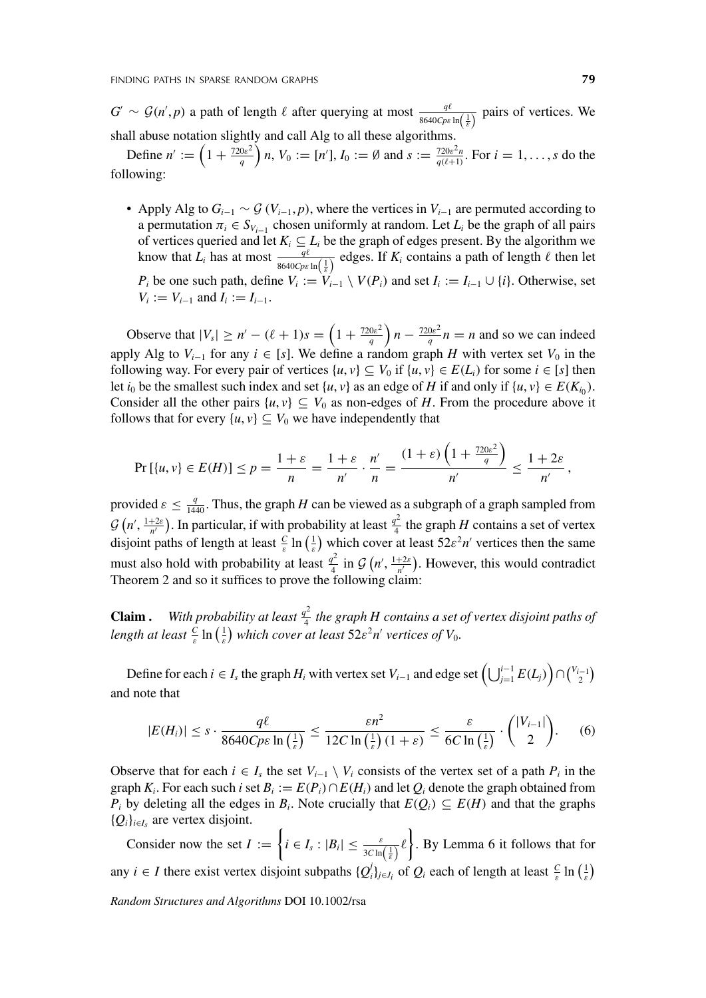$G' \sim \mathcal{G}(n', p)$  a path of length  $\ell$  after querying at most  $\frac{q\ell}{8640Cp\epsilon \ln\left(\frac{1}{\epsilon}\right)}$  pairs of vertices. We shall abuse notation slightly and call Alg to all these algorithms.

Define  $n' := \left(1 + \frac{720\varepsilon^2}{q}\right)n$ ,  $V_0 := [n'], I_0 := \emptyset$  and  $s := \frac{720\varepsilon^2 n}{q(\ell+1)}$ . For  $i = 1, ..., s$  do the following:

• Apply Alg to  $G_{i-1} \sim \mathcal{G}(V_{i-1}, p)$ , where the vertices in  $V_{i-1}$  are permuted according to a permutation  $\pi_i \in S_{V_{i-1}}$  chosen uniformly at random. Let  $L_i$  be the graph of all pairs of vertices queried and let  $K_i \subseteq L_i$  be the graph of edges present. By the algorithm we know that  $L_i$  has at most  $\frac{q\ell}{8640Cp\epsilon \ln\left(\frac{1}{\epsilon}\right)}$  edges. If  $K_i$  contains a path of length  $\ell$  then let *P<sub>i</sub>* be one such path, define  $V_i := V_{i-1} \setminus V(P_i)$  and set  $I_i := I_{i-1} \cup \{i\}$ . Otherwise, set  $V_i := V_{i-1}$  and  $I_i := I_{i-1}$ .

Observe that  $|V_s| \ge n' - (\ell + 1)s = \left(1 + \frac{720\varepsilon^2}{q}\right)n - \frac{720\varepsilon^2}{q}n = n$  and so we can indeed apply Alg to  $V_{i-1}$  for any  $i \in [s]$ . We define a random graph *H* with vertex set  $V_0$  in the following way. For every pair of vertices  $\{u, v\} \subseteq V_0$  if  $\{u, v\} \in E(L_i)$  for some  $i \in [s]$  then let *i*<sub>0</sub> be the smallest such index and set  $\{u, v\}$  as an edge of *H* if and only if  $\{u, v\} \in E(K_{i_0})$ . Consider all the other pairs  $\{u, v\} \subseteq V_0$  as non-edges of *H*. From the procedure above it follows that for every  $\{u, v\} \subseteq V_0$  we have independently that

$$
\Pr\left[\{u,v\}\in E(H)\right]\leq p=\frac{1+\varepsilon}{n}=\frac{1+\varepsilon}{n'}\cdot\frac{n'}{n}=\frac{(1+\varepsilon)\left(1+\frac{720\varepsilon^2}{q}\right)}{n'}\leq\frac{1+2\varepsilon}{n'},
$$

provided  $\varepsilon \leq \frac{q}{1440}$ . Thus, the graph *H* can be viewed as a subgraph of a graph sampled from  $\mathcal{G}(n', \frac{1+2\varepsilon}{n'})$ . In particular, if with probability at least  $\frac{q^2}{4}$  the graph *H* contains a set of vertex disjoint paths of length at least  $\frac{C}{\varepsilon} \ln \left( \frac{1}{\varepsilon} \right)$  which cover at least  $52\varepsilon^2 n'$  vertices then the same must also hold with probability at least  $\frac{q^2}{4}$  in  $\mathcal{G}(n', \frac{1+2\varepsilon}{n'})$ . However, this would contradict Theorem 2 and so it suffices to prove the following claim:

**Claim .** With probability at least  $\frac{q^2}{4}$  the graph H contains a set of vertex disjoint paths of *length at least*  $\frac{c}{\varepsilon} \ln \left( \frac{1}{\varepsilon} \right)$  which cover at least  $52\varepsilon^2 n'$  vertices of  $V_0$ .

Define for each  $i \in I_s$  the graph  $H_i$  with vertex set  $V_{i-1}$  and edge set  $\left(\bigcup_{j=1}^{i-1} E(L_j)\right) \cap \binom{V_{i-1}}{2}$ and note that

$$
|E(H_i)| \leq s \cdot \frac{q\ell}{8640Cp\varepsilon \ln\left(\frac{1}{\varepsilon}\right)} \leq \frac{\varepsilon n^2}{12C\ln\left(\frac{1}{\varepsilon}\right)(1+\varepsilon)} \leq \frac{\varepsilon}{6C\ln\left(\frac{1}{\varepsilon}\right)} \cdot \binom{|V_{i-1}|}{2}.\tag{6}
$$

Observe that for each  $i \in I_s$  the set  $V_{i-1} \setminus V_i$  consists of the vertex set of a path  $P_i$  in the graph  $K_i$ . For each such *i* set  $B_i := E(P_i) \cap E(H_i)$  and let  $Q_i$  denote the graph obtained from *P<sub>i</sub>* by deleting all the edges in *B<sub>i</sub>*. Note crucially that  $E(Q_i) \subseteq E(H)$  and that the graphs  ${Q_i}_{i \in I_s}$  are vertex disjoint.

Consider now the set  $I := \left\{ i \in I_s : |B_i| \leq \frac{\varepsilon}{3C \ln(\frac{1}{\varepsilon})} \ell \right\}$ . By Lemma 6 it follows that for any  $i \in I$  there exist vertex disjoint subpaths  $\{Q_i^j\}_{j \in J_i}$  of  $Q_i$  each of length at least  $\frac{C}{\varepsilon} \ln\left(\frac{1}{\varepsilon}\right)$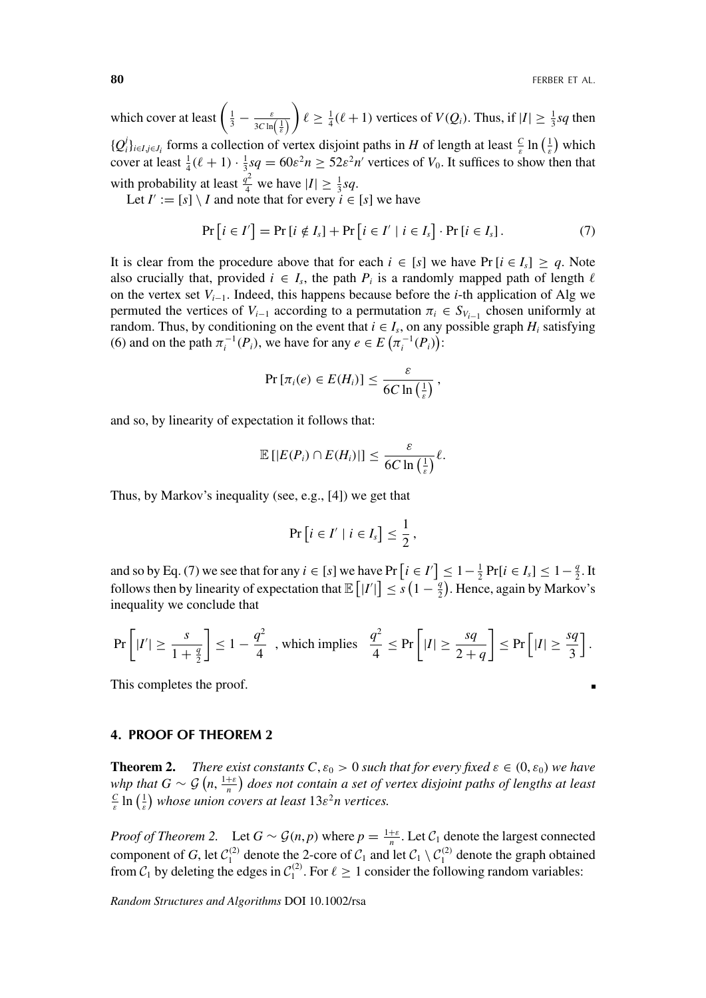**80 BO FERBER ET AL.** 

which cover at least  $\left(\frac{1}{3} - \frac{\varepsilon}{3C \ln(\frac{1}{\varepsilon})}\right)$  $\left\{ \ell \geq \frac{1}{4}(\ell+1) \text{ vertices of } V(Q_i) \right\}$ . Thus, if  $|I| \geq \frac{1}{3}sq$  then  ${Q_i^j}_{i \in I, j \in J_i}$  forms a collection of vertex disjoint paths in *H* of length at least  $\frac{C}{\varepsilon}$  ln  $(\frac{1}{\varepsilon})$  which cover at least  $\frac{1}{4}(\ell+1) \cdot \frac{1}{3}sq = 60\varepsilon^2 n \ge 52\varepsilon^2 n'$  vertices of  $V_0$ . It suffices to show then that with probability at least  $\frac{q^2}{4}$  we have  $|I| \ge \frac{1}{3}sq$ .

Let  $I' := [s] \setminus I$  and note that for every  $i \in [s]$  we have

$$
\Pr\left[i \in I'\right] = \Pr\left[i \notin I_s\right] + \Pr\left[i \in I' \mid i \in I_s\right] \cdot \Pr\left[i \in I_s\right].\tag{7}
$$

It is clear from the procedure above that for each  $i \in [s]$  we have Pr  $[i \in I_s] \geq q$ . Note also crucially that, provided  $i \in I_s$ , the path  $P_i$  is a randomly mapped path of length  $\ell$ on the vertex set *Vi*−1. Indeed, this happens because before the *i*-th application of Alg we permuted the vertices of  $V_{i-1}$  according to a permutation  $\pi_i \in S_{V_{i-1}}$  chosen uniformly at random. Thus, by conditioning on the event that  $i \in I_s$ , on any possible graph  $H_i$  satisfying (6) and on the path  $\pi_i^{-1}(P_i)$ , we have for any  $e \in E(\pi_i^{-1}(P_i))$ :

$$
\Pr\left[\pi_i(e) \in E(H_i)\right] \leq \frac{\varepsilon}{6C \ln\left(\frac{1}{\varepsilon}\right)},
$$

and so, by linearity of expectation it follows that:

$$
\mathbb{E}\left[|E(P_i) \cap E(H_i)|\right] \leq \frac{\varepsilon}{6C \ln\left(\frac{1}{\varepsilon}\right)} \ell.
$$

Thus, by Markov's inequality (see, e.g., [4]) we get that

$$
\Pr\left[i \in I' \mid i \in I_s\right] \leq \frac{1}{2},
$$

and so by Eq. (7) we see that for any  $i \in [s]$  we have Pr  $[i \in I'] \leq 1 - \frac{1}{2}$  Pr $[i \in I_s] \leq 1 - \frac{q}{2}$ . It follows then by linearity of expectation that  $\mathbb{E}[|I'|] \leq s(1 - \frac{q}{2})$ . Hence, again by Markov's inequality we conclude that

$$
\Pr\left[|I'|\geq \frac{s}{1+\frac{q}{2}}\right] \leq 1-\frac{q^2}{4} \text{ , which implies } \frac{q^2}{4}\leq \Pr\left[|I|\geq \frac{sq}{2+q}\right] \leq \Pr\left[|I|\geq \frac{sq}{3}\right].
$$

This completes the proof.

#### **4. PROOF OF THEOREM 2**

**Theorem 2.** *There exist constants C*,  $\varepsilon_0 > 0$  *such that for every fixed*  $\varepsilon \in (0, \varepsilon_0)$  *we have whp that*  $G \sim \mathcal{G}(n, \frac{1+\varepsilon}{n})$  does not contain a set of vertex disjoint paths of lengths at least  $\frac{c}{\varepsilon}$  ln  $\left(\frac{1}{\varepsilon}\right)$  whose union covers at least  $13\varepsilon^2 n$  vertices.

*Proof of Theorem 2.* Let  $G \sim \mathcal{G}(n, p)$  where  $p = \frac{1+\varepsilon}{n}$ . Let  $\mathcal{C}_1$  denote the largest connected component of *G*, let  $C_1^{(2)}$  denote the 2-core of  $C_1$  and let  $C_1 \setminus C_1^{(2)}$  denote the graph obtained from  $C_1$  by deleting the edges in  $C_1^{(2)}$ . For  $\ell \ge 1$  consider the following random variables: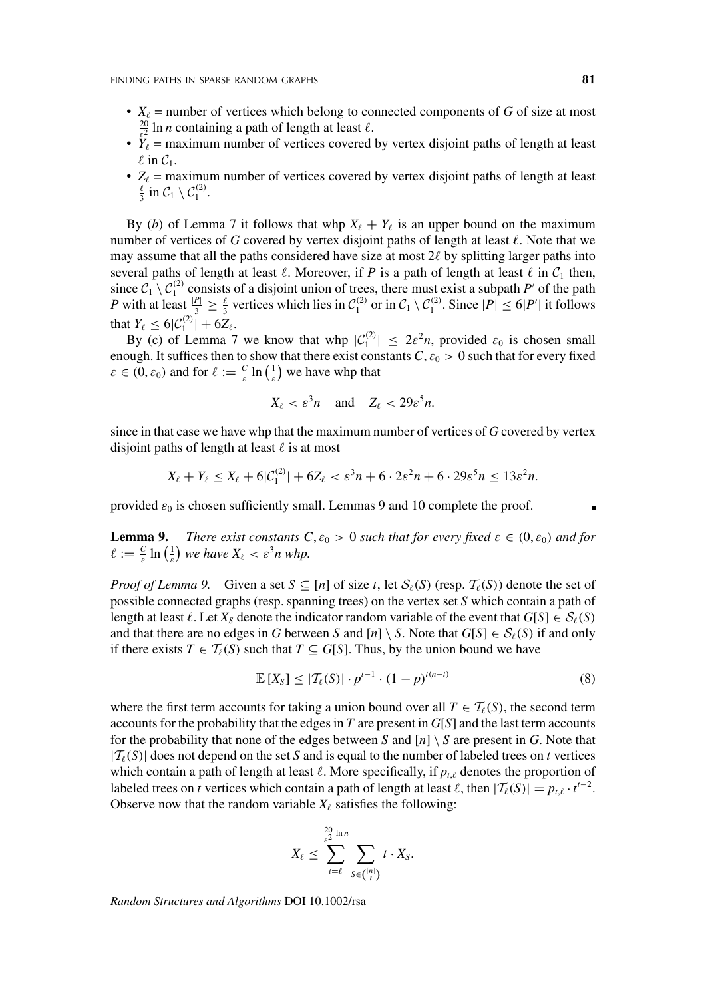- $X_{\ell}$  = number of vertices which belong to connected components of *G* of size at most  $\frac{20}{2}$  ln *n* containing a path of length at least  $\ell$ .
- $\dot{Y}_\ell$  = maximum number of vertices covered by vertex disjoint paths of length at least  $\ell$  in  $C_1$ .
- $Z_{\ell}$  = maximum number of vertices covered by vertex disjoint paths of length at least  $\frac{\ell}{3}$  in  $\mathcal{C}_1 \setminus \mathcal{C}_1^{(2)}$ .

By (*b*) of Lemma 7 it follows that whp  $X_{\ell} + Y_{\ell}$  is an upper bound on the maximum number of vertices of *G* covered by vertex disjoint paths of length at least  $\ell$ . Note that we may assume that all the paths considered have size at most  $2\ell$  by splitting larger paths into several paths of length at least  $\ell$ . Moreover, if *P* is a path of length at least  $\ell$  in  $C_1$  then, since  $C_1 \setminus C_1^{(2)}$  consists of a disjoint union of trees, there must exist a subpath *P'* of the path *P* with at least  $\frac{|P|}{3} \ge \frac{\ell}{3}$  vertices which lies in  $C_1^{(2)}$  or in  $C_1 \setminus C_1^{(2)}$ . Since  $|P| \le 6|P'|$  it follows that  $Y_{\ell} \leq 6|\mathcal{C}_1^{(2)}| + 6Z_{\ell}$ .

By (c) of Lemma 7 we know that whp  $|C_1^{(2)}| \le 2\varepsilon^2 n$ , provided  $\varepsilon_0$  is chosen small enough. It suffices then to show that there exist constants  $C, \varepsilon_0 > 0$  such that for every fixed  $\varepsilon \in (0, \varepsilon_0)$  and for  $\ell := \frac{C}{\varepsilon} \ln\left(\frac{1}{\varepsilon}\right)$  we have whp that

$$
X_{\ell} < \varepsilon^3 n \quad \text{and} \quad Z_{\ell} < 29\varepsilon^5 n.
$$

since in that case we have whp that the maximum number of vertices of *G* covered by vertex disjoint paths of length at least  $\ell$  is at most

$$
X_{\ell} + Y_{\ell} \le X_{\ell} + 6|\mathcal{C}_1^{(2)}| + 6Z_{\ell} < \varepsilon^3 n + 6 \cdot 2\varepsilon^2 n + 6 \cdot 29\varepsilon^5 n \le 13\varepsilon^2 n.
$$

provided  $\varepsilon_0$  is chosen sufficiently small. Lemmas 9 and 10 complete the proof.

**Lemma 9.** *There exist constants*  $C, \varepsilon_0 > 0$  *such that for every fixed*  $\varepsilon \in (0, \varepsilon_0)$  *and for*  $\ell := \frac{c}{\varepsilon} \ln \left( \frac{1}{\varepsilon} \right)$  we have  $X_{\ell} < \varepsilon^3 n$  whp.

*Proof of Lemma 9.* Given a set  $S \subseteq [n]$  of size *t*, let  $S_{\ell}(S)$  (resp.  $T_{\ell}(S)$ ) denote the set of possible connected graphs (resp. spanning trees) on the vertex set *S* which contain a path of length at least  $\ell$ . Let  $X_S$  denote the indicator random variable of the event that  $G[S] \in \mathcal{S}_{\ell}(S)$ and that there are no edges in *G* between *S* and  $[n] \setminus S$ . Note that  $G[S] \in S_{\ell}(S)$  if and only if there exists  $T \in \mathcal{T}_{\ell}(S)$  such that  $T \subseteq G[S]$ . Thus, by the union bound we have

$$
\mathbb{E}\left[X_{S}\right] \leq |\mathcal{T}_{\ell}(S)| \cdot p^{t-1} \cdot (1-p)^{t(n-t)} \tag{8}
$$

where the first term accounts for taking a union bound over all  $T \in \mathcal{T}_{\ell}(S)$ , the second term accounts for the probability that the edges in  $T$  are present in  $G[S]$  and the last term accounts for the probability that none of the edges between *S* and  $[n] \setminus S$  are present in *G*. Note that  $|T_{\ell}(S)|$  does not depend on the set *S* and is equal to the number of labeled trees on *t* vertices which contain a path of length at least  $\ell$ . More specifically, if  $p_{i,\ell}$  denotes the proportion of labeled trees on *t* vertices which contain a path of length at least  $\ell$ , then  $|\mathcal{T}_{\ell}(S)| = p_{t,\ell} \cdot t^{t-2}$ . Observe now that the random variable  $X_{\ell}$  satisfies the following:

$$
X_{\ell} \leq \sum_{t=\ell}^{\frac{20}{c^2} \ln n} \sum_{S \in \binom{[n]}{\ell}} t \cdot X_S.
$$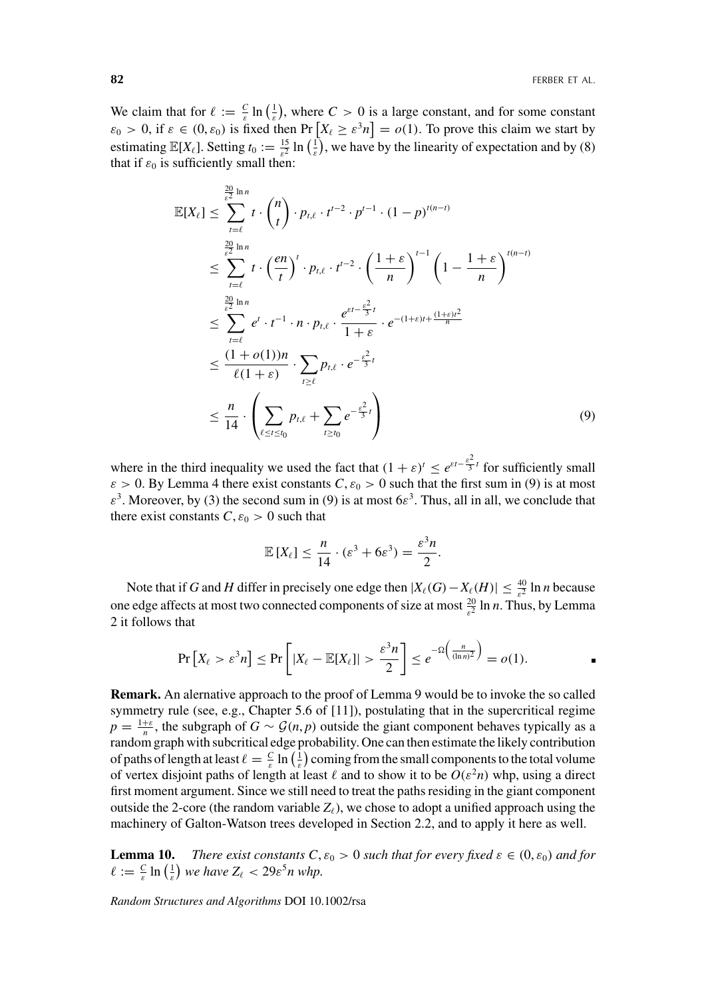We claim that for  $\ell := \frac{C}{\varepsilon} \ln\left(\frac{1}{\varepsilon}\right)$ , where  $C > 0$  is a large constant, and for some constant  $\varepsilon_0 > 0$ , if  $\varepsilon \in (0, \varepsilon_0)$  is fixed then Pr  $\left[X_\ell \geq \varepsilon^3 n\right] = o(1)$ . To prove this claim we start by estimating  $\mathbb{E}[X_{\ell}]$ . Setting  $t_0 := \frac{15}{\varepsilon^2} \ln\left(\frac{1}{\varepsilon}\right)$ , we have by the linearity of expectation and by (8) that if  $\varepsilon_0$  is sufficiently small then:

$$
\mathbb{E}[X_{\ell}] \leq \sum_{t=\ell}^{\frac{20}{\epsilon^2} \ln n} t \cdot {n \choose t} \cdot p_{t,\ell} \cdot t^{t-2} \cdot p^{t-1} \cdot (1-p)^{t(n-t)} \n\leq \sum_{t=\ell}^{\frac{20}{\epsilon^2} \ln n} t \cdot \left(\frac{en}{t}\right)^t \cdot p_{t,\ell} \cdot t^{t-2} \cdot \left(\frac{1+\epsilon}{n}\right)^{t-1} \left(1 - \frac{1+\epsilon}{n}\right)^{t(n-t)} \n\leq \sum_{t=\ell}^{\frac{20}{\epsilon^2} \ln n} e^t \cdot t^{-1} \cdot n \cdot p_{t,\ell} \cdot \frac{e^{\epsilon t - \frac{\epsilon^2}{3}t}}{1+\epsilon} \cdot e^{-(1+\epsilon)t + \frac{(1+\epsilon)t^2}{n}} \n\leq \frac{(1+o(1))n}{\ell(1+\epsilon)} \cdot \sum_{t \geq \ell} p_{t,\ell} \cdot e^{-\frac{\epsilon^2}{3}t} \n\leq \frac{n}{14} \cdot \left(\sum_{\ell \leq t \leq t_0} p_{t,\ell} + \sum_{t \geq t_0} e^{-\frac{\epsilon^2}{3}t}\right)
$$
\n(9)

where in the third inequality we used the fact that  $(1 + \varepsilon)^t \le e^{\varepsilon t - \frac{\varepsilon^2}{3}}$  for sufficiently small  $\varepsilon > 0$ . By Lemma 4 there exist constants *C*,  $\varepsilon_0 > 0$  such that the first sum in (9) is at most  $\varepsilon^3$ . Moreover, by (3) the second sum in (9) is at most  $6\varepsilon^3$ . Thus, all in all, we conclude that there exist constants  $C, \varepsilon_0 > 0$  such that

$$
\mathbb{E}[X_{\ell}] \leq \frac{n}{14} \cdot (\varepsilon^3 + 6\varepsilon^3) = \frac{\varepsilon^3 n}{2}.
$$

Note that if *G* and *H* differ in precisely one edge then  $|X_{\ell}(G) - X_{\ell}(H)| \leq \frac{40}{\epsilon^2} \ln n$  because one edge affects at most two connected components of size at most  $\frac{20}{\varepsilon^2}$  ln *n*. Thus, by Lemma 2 it follows that

$$
\Pr\left[X_{\ell} > \varepsilon^3 n\right] \le \Pr\left[|X_{\ell} - \mathbb{E}[X_{\ell}]| > \frac{\varepsilon^3 n}{2}\right] \le e^{-\Omega\left(\frac{n}{(\ln n)^2}\right)} = o(1).
$$

**Remark.** An alernative approach to the proof of Lemma 9 would be to invoke the so called symmetry rule (see, e.g., Chapter 5.6 of [11]), postulating that in the supercritical regime  $p = \frac{1+\varepsilon}{n}$ , the subgraph of  $G \sim \mathcal{G}(n, p)$  outside the giant component behaves typically as a random graph with subcritical edge probability. One can then estimate the likely contribution of paths of length at least  $\ell = \frac{C}{\varepsilon} \ln \left( \frac{1}{\varepsilon} \right)$  coming from the small components to the total volume of vertex disjoint paths of length at least  $\ell$  and to show it to be  $O(\varepsilon^2 n)$  whp, using a direct first moment argument. Since we still need to treat the paths residing in the giant component outside the 2-core (the random variable  $Z_{\ell}$ ), we chose to adopt a unified approach using the machinery of Galton-Watson trees developed in Section 2.2, and to apply it here as well.

**Lemma 10.** *There exist constants C*,  $\varepsilon_0 > 0$  *such that for every fixed*  $\varepsilon \in (0, \varepsilon_0)$  *and for*  $\ell := \frac{c}{\varepsilon} \ln \left( \frac{1}{\varepsilon} \right)$  we have  $Z_{\ell} < 29 \varepsilon^5 n$  whp.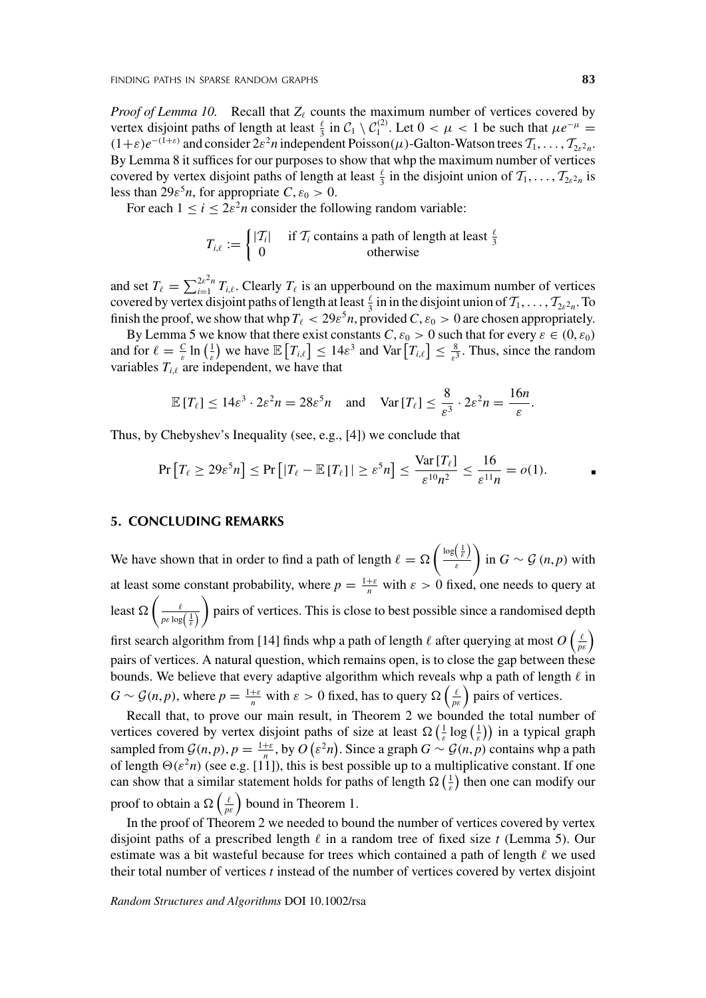*Proof of Lemma 10.* Recall that  $Z_{\ell}$  counts the maximum number of vertices covered by vertex disjoint paths of length at least  $\frac{\ell}{3}$  in  $C_1 \setminus C_1^{(2)}$ . Let  $0 < \mu < 1$  be such that  $\mu e^{-\mu} =$  $(1+\varepsilon)e^{-(1+\varepsilon)}$  and consider  $2\varepsilon^2n$  independent Poisson $(\mu)$ -Galton-Watson trees  $\mathcal{T}_1, \ldots, \mathcal{T}_{2\varepsilon^2n}$ . By Lemma 8 it suffices for our purposes to show that whp the maximum number of vertices covered by vertex disjoint paths of length at least  $\frac{\ell}{3}$  in the disjoint union of  $T_1, \ldots, T_{2\ell^2 n}$  is less than  $29\varepsilon^5 n$ , for appropriate  $C, \varepsilon_0 > 0$ .

For each  $1 \le i \le 2\varepsilon^2 n$  consider the following random variable:

$$
T_{i,\ell} := \begin{cases} |T_i| & \text{if } T_i \text{ contains a path of length at least } \frac{\ell}{3} \\ 0 & \text{otherwise} \end{cases}
$$

and set  $T_{\ell} = \sum_{i=1}^{2\varepsilon^2 n} T_{i,\ell}$ . Clearly  $T_{\ell}$  is an upperbound on the maximum number of vertices covered by vertex disjoint paths of length at least  $\frac{\ell}{3}$  in in the disjoint union of  $T_1, \ldots, T_{2\ell^2 n}$ . To finish the proof, we show that whp  $T_{\ell} < 29\varepsilon^5 n$ , provided  $C, \varepsilon_0 > 0$  are chosen appropriately.

By Lemma 5 we know that there exist constants  $C$ ,  $\varepsilon_0 > 0$  such that for every  $\varepsilon \in (0, \varepsilon_0)$ and for  $\ell = \frac{C}{\varepsilon} \ln \left( \frac{1}{\varepsilon} \right)$  we have  $\mathbb{E} \left[ T_{i,\ell} \right] \leq 14 \varepsilon^3$  and  $\text{Var} \left[ T_{i,\ell} \right] \leq \frac{8}{\varepsilon^3}$ . Thus, since the random variables  $T_{i,\ell}$  are independent, we have that

$$
\mathbb{E}\left[T_{\ell}\right] \leq 14\varepsilon^3 \cdot 2\varepsilon^2 n = 28\varepsilon^5 n \quad \text{and} \quad \text{Var}\left[T_{\ell}\right] \leq \frac{8}{\varepsilon^3} \cdot 2\varepsilon^2 n = \frac{16n}{\varepsilon}.
$$

Thus, by Chebyshev's Inequality (see, e.g., [4]) we conclude that

$$
\Pr\left[T_{\ell} \ge 29\varepsilon^{5}n\right] \le \Pr\left[|T_{\ell} - \mathbb{E}\left[T_{\ell}\right]|\ge \varepsilon^{5}n\right] \le \frac{\text{Var}\left[T_{\ell}\right]}{\varepsilon^{10}n^{2}} \le \frac{16}{\varepsilon^{11}n} = o(1).
$$

#### **5. CONCLUDING REMARKS**

We have shown that in order to find a path of length  $\ell = \Omega\left(\frac{\log\left(\frac{1}{\varepsilon}\right)}{\varepsilon}\right)$ *ε*  $\left\{ \text{in } G \sim \mathcal{G} \left( n, p \right) \text{ with } \right.$ at least some constant probability, where  $p = \frac{1+\varepsilon}{n}$  with  $\varepsilon > 0$  fixed, one needs to query at least  $\Omega\left(\frac{\ell}{p\epsilon\log\left(\frac{1}{\varepsilon}\right)}\right)$  pairs of vertices. This is close to best possible since a randomised depth first search algorithm from [14] finds whp a path of length  $\ell$  after querying at most  $O\left(\frac{\ell}{p\epsilon}\right)$ pairs of vertices. A natural question, which remains open, is to close the gap between these

bounds. We believe that every adaptive algorithm which reveals whp a path of length  $\ell$  in  $G \sim \mathcal{G}(n, p)$ , where  $p = \frac{1+\varepsilon}{n}$  with  $\varepsilon > 0$  fixed, has to query  $\Omega\left(\frac{\ell}{p\varepsilon}\right)$  pairs of vertices.

Recall that, to prove our main result, in Theorem 2 we bounded the total number of vertices covered by vertex disjoint paths of size at least  $\Omega\left(\frac{1}{\varepsilon}\log\left(\frac{1}{\varepsilon}\right)\right)$  in a typical graph sampled from  $G(n, p)$ ,  $p = \frac{1+\varepsilon}{n}$ , by  $O(\varepsilon^2 n)$ . Since a graph  $G \sim G(n, p)$  contains whp a path of length  $\Theta(\varepsilon^2 n)$  (see e.g. [11]), this is best possible up to a multiplicative constant. If one can show that a similar statement holds for paths of length  $\Omega\left(\frac{1}{\varepsilon}\right)$  then one can modify our proof to obtain a  $\Omega\left(\frac{\ell}{p\epsilon}\right)$  bound in Theorem 1.

In the proof of Theorem 2 we needed to bound the number of vertices covered by vertex disjoint paths of a prescribed length  $\ell$  in a random tree of fixed size  $t$  (Lemma 5). Our estimate was a bit wasteful because for trees which contained a path of length  $\ell$  we used their total number of vertices *t* instead of the number of vertices covered by vertex disjoint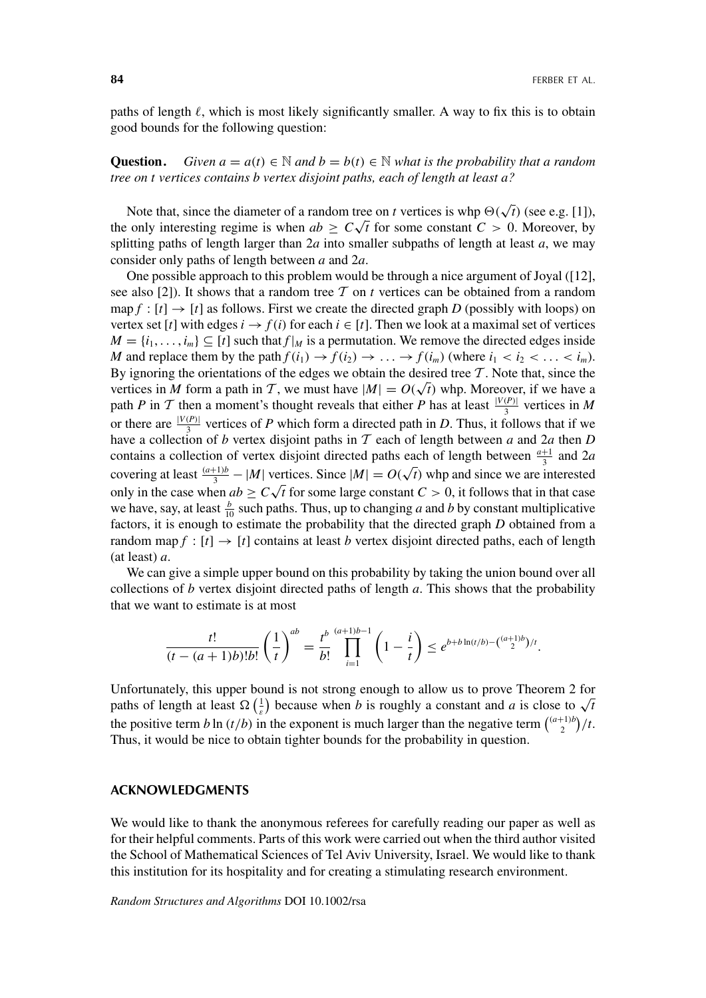paths of length  $\ell$ , which is most likely significantly smaller. A way to fix this is to obtain good bounds for the following question:

**Question.** *Given*  $a = a(t) \in \mathbb{N}$  and  $b = b(t) \in \mathbb{N}$  *what is the probability that a random tree on t vertices contains b vertex disjoint paths, each of length at least a?*

Note that, since the diameter of a random tree on *t* vertices is whp  $\Theta(\sqrt{t})$  (see e.g. [1]), Note that, since the diameter of a random tree on *t* vertices is wip  $\Theta(\sqrt{t})$  (see e.g. [1]), the only interesting regime is when  $ab \ge C\sqrt{t}$  for some constant  $C > 0$ . Moreover, by splitting paths of length larger than 2*a* into smaller subpaths of length at least *a*, we may consider only paths of length between *a* and 2*a*.

One possible approach to this problem would be through a nice argument of Joyal ([12], see also [2]). It shows that a random tree  $T$  on  $t$  vertices can be obtained from a random map  $f : [t] \to [t]$  as follows. First we create the directed graph *D* (possibly with loops) on vertex set [*t*] with edges  $i \rightarrow f(i)$  for each  $i \in [t]$ . Then we look at a maximal set of vertices  $M = \{i_1, \ldots, i_m\} \subseteq [t]$  such that  $f|_M$  is a permutation. We remove the directed edges inside *M* and replace them by the path  $f(i_1) \rightarrow f(i_2) \rightarrow \ldots \rightarrow f(i_m)$  (where  $i_1 < i_2 < \ldots < i_m$ ). By ignoring the orientations of the edges we obtain the desired tree  $\mathcal T$ . Note that, since the By ignoring the orientations of the edges we obtain the desired tree 1. Note that, since the vertices in *M* form a path in T, we must have  $|M| = O(\sqrt{t})$  whp. Moreover, if we have a path *P* in T then a moment's thought reveals that either *P* has at least  $\frac{|V(P)|}{3}$  vertices in *M* or there are  $\frac{|V(P)|}{3}$  vertices of *P* which form a directed path in *D*. Thus, it follows that if we have a collection of *b* vertex disjoint paths in T each of length between *a* and 2*a* then *D* contains a collection of vertex disjoint directed paths each of length between  $\frac{a+1}{3}$  and 2*a* covering at least  $\frac{(a+1)b}{3} - |M|$  vertices. Since  $|M| = O(\sqrt{t})$  whp and since we are interested for  $\frac{1}{3} - \frac{1}{4}$  with vertices. Since  $\frac{1}{4} - O(\sqrt{t})$  with and since we are interested<br>only in the case when  $ab \ge C\sqrt{t}$  for some large constant  $C > 0$ , it follows that in that case we have, say, at least  $\frac{b}{10}$  such paths. Thus, up to changing *a* and *b* by constant multiplicative factors, it is enough to estimate the probability that the directed graph *D* obtained from a random map  $f : [t] \rightarrow [t]$  contains at least *b* vertex disjoint directed paths, each of length (at least) *a*.

We can give a simple upper bound on this probability by taking the union bound over all collections of *b* vertex disjoint directed paths of length *a*. This shows that the probability that we want to estimate is at most

$$
\frac{t!}{(t-(a+1)b)!b!} \left(\frac{1}{t}\right)^{ab} = \frac{t^{b}}{b!} \prod_{i=1}^{(a+1)b-1} \left(1-\frac{i}{t}\right) \leq e^{b+b\ln(t/b)-\binom{(a+1)b}{2}/t}.
$$

Unfortunately, this upper bound is not strong enough to allow us to prove Theorem 2 for Unfortunately, this upper bound is not strong enough to allow us to prove Theorem 2 for paths of length at least  $\Omega\left(\frac{1}{\varepsilon}\right)$  because when *b* is roughly a constant and *a* is close to  $\sqrt{t}$ the positive term *b* ln  $(t/b)$  in the exponent is much larger than the negative term  $\binom{(a+1)b}{2}t$ . Thus, it would be nice to obtain tighter bounds for the probability in question.

# **ACKNOWLEDGMENTS**

We would like to thank the anonymous referees for carefully reading our paper as well as for their helpful comments. Parts of this work were carried out when the third author visited the School of Mathematical Sciences of Tel Aviv University, Israel. We would like to thank this institution for its hospitality and for creating a stimulating research environment.